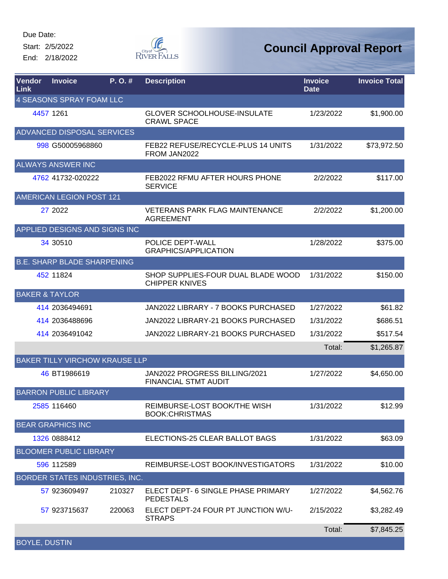Start: 2/5/2022

End: 2/18/2022



| Vendor<br>Link            | <b>Invoice</b>                     | P. O. #                               | <b>Description</b>                                           | <b>Invoice</b><br><b>Date</b> | <b>Invoice Total</b> |
|---------------------------|------------------------------------|---------------------------------------|--------------------------------------------------------------|-------------------------------|----------------------|
|                           | 4 SEASONS SPRAY FOAM LLC           |                                       |                                                              |                               |                      |
|                           | 4457 1261                          |                                       | <b>GLOVER SCHOOLHOUSE-INSULATE</b><br><b>CRAWL SPACE</b>     | 1/23/2022                     | \$1,900.00           |
|                           | ADVANCED DISPOSAL SERVICES         |                                       |                                                              |                               |                      |
|                           | 998 G50005968860                   |                                       | FEB22 REFUSE/RECYCLE-PLUS 14 UNITS<br>FROM JAN2022           | 1/31/2022                     | \$73,972.50          |
|                           | <b>ALWAYS ANSWER INC</b>           |                                       |                                                              |                               |                      |
|                           | 4762 41732-020222                  |                                       | FEB2022 RFMU AFTER HOURS PHONE<br><b>SERVICE</b>             | 2/2/2022                      | \$117.00             |
|                           | <b>AMERICAN LEGION POST 121</b>    |                                       |                                                              |                               |                      |
|                           | 27 2022                            |                                       | <b>VETERANS PARK FLAG MAINTENANCE</b><br><b>AGREEMENT</b>    | 2/2/2022                      | \$1,200.00           |
|                           |                                    | APPLIED DESIGNS AND SIGNS INC         |                                                              |                               |                      |
|                           | 34 30510                           |                                       | POLICE DEPT-WALL<br><b>GRAPHICS/APPLICATION</b>              | 1/28/2022                     | \$375.00             |
|                           | <b>B.E. SHARP BLADE SHARPENING</b> |                                       |                                                              |                               |                      |
|                           | 452 11824                          |                                       | SHOP SUPPLIES-FOUR DUAL BLADE WOOD<br><b>CHIPPER KNIVES</b>  | 1/31/2022                     | \$150.00             |
| <b>BAKER &amp; TAYLOR</b> |                                    |                                       |                                                              |                               |                      |
|                           | 414 2036494691                     |                                       | JAN2022 LIBRARY - 7 BOOKS PURCHASED                          | 1/27/2022                     | \$61.82              |
|                           | 414 2036488696                     |                                       | JAN2022 LIBRARY-21 BOOKS PURCHASED                           | 1/31/2022                     | \$686.51             |
|                           | 414 2036491042                     |                                       | JAN2022 LIBRARY-21 BOOKS PURCHASED                           | 1/31/2022                     | \$517.54             |
|                           |                                    |                                       |                                                              | Total:                        | \$1,265.87           |
|                           |                                    | <b>BAKER TILLY VIRCHOW KRAUSE LLP</b> |                                                              |                               |                      |
|                           | 46 BT1986619                       |                                       | JAN2022 PROGRESS BILLING/2021<br><b>FINANCIAL STMT AUDIT</b> | 1/27/2022                     | \$4,650.00           |
|                           | <b>BARRON PUBLIC LIBRARY</b>       |                                       |                                                              |                               |                      |
|                           | 2585 116460                        |                                       | REIMBURSE-LOST BOOK/THE WISH<br><b>BOOK:CHRISTMAS</b>        | 1/31/2022                     | \$12.99              |
|                           | <b>BEAR GRAPHICS INC</b>           |                                       |                                                              |                               |                      |
|                           | 1326 0888412                       |                                       | ELECTIONS-25 CLEAR BALLOT BAGS                               | 1/31/2022                     | \$63.09              |
|                           | <b>BLOOMER PUBLIC LIBRARY</b>      |                                       |                                                              |                               |                      |
|                           | 596 112589                         |                                       | REIMBURSE-LOST BOOK/INVESTIGATORS                            | 1/31/2022                     | \$10.00              |
|                           |                                    | BORDER STATES INDUSTRIES, INC.        |                                                              |                               |                      |
|                           | 57 923609497                       | 210327                                | ELECT DEPT- 6 SINGLE PHASE PRIMARY<br><b>PEDESTALS</b>       | 1/27/2022                     | \$4,562.76           |
|                           | 57 923715637                       | 220063                                | ELECT DEPT-24 FOUR PT JUNCTION W/U-<br><b>STRAPS</b>         | 2/15/2022                     | \$3,282.49           |
|                           |                                    |                                       |                                                              | Total:                        | \$7,845.25           |
| <b>BOYLE, DUSTIN</b>      |                                    |                                       |                                                              |                               |                      |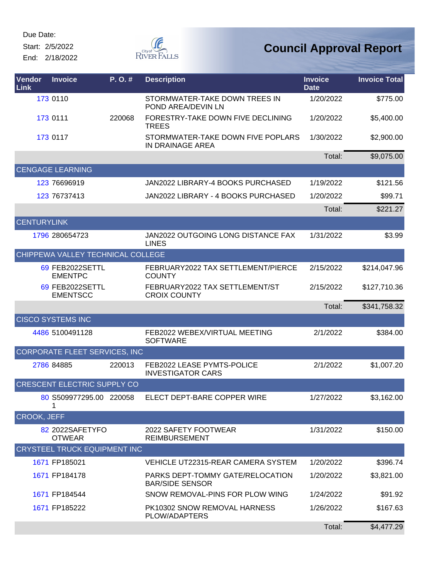Start: 2/5/2022

End: 2/18/2022



| Vendor<br>Link     | <b>Invoice</b>                      | P.O.#  | <b>Description</b>                                         | <b>Invoice</b><br><b>Date</b> | <b>Invoice Total</b> |
|--------------------|-------------------------------------|--------|------------------------------------------------------------|-------------------------------|----------------------|
|                    | 173 0110                            |        | STORMWATER-TAKE DOWN TREES IN<br>POND AREA/DEVIN LN        | 1/20/2022                     | \$775.00             |
|                    | 173 0111                            | 220068 | FORESTRY-TAKE DOWN FIVE DECLINING<br><b>TREES</b>          | 1/20/2022                     | \$5,400.00           |
|                    | 173 0117                            |        | STORMWATER-TAKE DOWN FIVE POPLARS<br>IN DRAINAGE AREA      | 1/30/2022                     | \$2,900.00           |
|                    |                                     |        |                                                            | Total:                        | \$9,075.00           |
|                    | <b>CENGAGE LEARNING</b>             |        |                                                            |                               |                      |
|                    | 123 76696919                        |        | JAN2022 LIBRARY-4 BOOKS PURCHASED                          | 1/19/2022                     | \$121.56             |
|                    | 123 76737413                        |        | JAN2022 LIBRARY - 4 BOOKS PURCHASED                        | 1/20/2022                     | \$99.71              |
|                    |                                     |        |                                                            | Total:                        | \$221.27             |
| <b>CENTURYLINK</b> |                                     |        |                                                            |                               |                      |
|                    | 1796 280654723                      |        | JAN2022 OUTGOING LONG DISTANCE FAX<br><b>LINES</b>         | 1/31/2022                     | \$3.99               |
|                    | CHIPPEWA VALLEY TECHNICAL COLLEGE   |        |                                                            |                               |                      |
|                    | 69 FEB2022SETTL<br><b>EMENTPC</b>   |        | FEBRUARY2022 TAX SETTLEMENT/PIERCE<br><b>COUNTY</b>        | 2/15/2022                     | \$214,047.96         |
|                    | 69 FEB2022SETTL<br><b>EMENTSCC</b>  |        | FEBRUARY2022 TAX SETTLEMENT/ST<br><b>CROIX COUNTY</b>      | 2/15/2022                     | \$127,710.36         |
|                    |                                     |        |                                                            | Total:                        | \$341,758.32         |
|                    | <b>CISCO SYSTEMS INC</b>            |        |                                                            |                               |                      |
|                    | 4486 5100491128                     |        | FEB2022 WEBEX/VIRTUAL MEETING<br><b>SOFTWARE</b>           | 2/1/2022                      | \$384.00             |
|                    | CORPORATE FLEET SERVICES, INC       |        |                                                            |                               |                      |
|                    | 2786 84885                          | 220013 | FEB2022 LEASE PYMTS-POLICE<br><b>INVESTIGATOR CARS</b>     | 2/1/2022                      | \$1,007.20           |
|                    | <b>CRESCENT ELECTRIC SUPPLY CO</b>  |        |                                                            |                               |                      |
|                    | 80 S509977295.00 220058<br>1        |        | ELECT DEPT-BARE COPPER WIRE                                | 1/27/2022                     | \$3,162.00           |
| CROOK, JEFF        |                                     |        |                                                            |                               |                      |
|                    | 82 2022SAFETYFO<br><b>OTWEAR</b>    |        | 2022 SAFETY FOOTWEAR<br><b>REIMBURSEMENT</b>               | 1/31/2022                     | \$150.00             |
|                    | <b>CRYSTEEL TRUCK EQUIPMENT INC</b> |        |                                                            |                               |                      |
|                    | 1671 FP185021                       |        | VEHICLE UT22315-REAR CAMERA SYSTEM                         | 1/20/2022                     | \$396.74             |
|                    | 1671 FP184178                       |        | PARKS DEPT-TOMMY GATE/RELOCATION<br><b>BAR/SIDE SENSOR</b> | 1/20/2022                     | \$3,821.00           |
|                    | 1671 FP184544                       |        | SNOW REMOVAL-PINS FOR PLOW WING                            | 1/24/2022                     | \$91.92              |
|                    | 1671 FP185222                       |        | PK10302 SNOW REMOVAL HARNESS<br>PLOW/ADAPTERS              | 1/26/2022                     | \$167.63             |
|                    |                                     |        |                                                            | Total:                        | \$4,477.29           |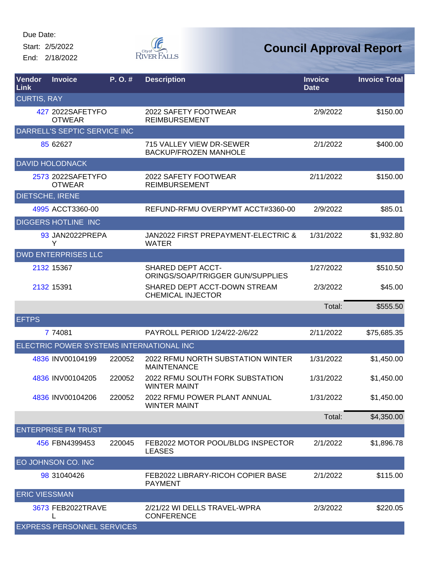Start: 2/5/2022

End: 2/18/2022



| Vendor<br>Link       | <b>Invoice</b>                           | P.O.#  | <b>Description</b>                                       | <b>Invoice</b><br><b>Date</b> | <b>Invoice Total</b> |
|----------------------|------------------------------------------|--------|----------------------------------------------------------|-------------------------------|----------------------|
| <b>CURTIS, RAY</b>   |                                          |        |                                                          |                               |                      |
|                      | 427 2022SAFETYFO<br><b>OTWEAR</b>        |        | 2022 SAFETY FOOTWEAR<br><b>REIMBURSEMENT</b>             | 2/9/2022                      | \$150.00             |
|                      | DARRELL'S SEPTIC SERVICE INC             |        |                                                          |                               |                      |
|                      | 85 62627                                 |        | 715 VALLEY VIEW DR-SEWER<br><b>BACKUP/FROZEN MANHOLE</b> | 2/1/2022                      | \$400.00             |
|                      | <b>DAVID HOLODNACK</b>                   |        |                                                          |                               |                      |
|                      | 2573 2022SAFETYFO<br><b>OTWEAR</b>       |        | 2022 SAFETY FOOTWEAR<br><b>REIMBURSEMENT</b>             | 2/11/2022                     | \$150.00             |
|                      | <b>DIETSCHE, IRENE</b>                   |        |                                                          |                               |                      |
|                      | 4995 ACCT3360-00                         |        | REFUND-RFMU OVERPYMT ACCT#3360-00                        | 2/9/2022                      | \$85.01              |
|                      | <b>DIGGERS HOTLINE INC</b>               |        |                                                          |                               |                      |
|                      | 93 JAN2022PREPA<br>Y                     |        | JAN2022 FIRST PREPAYMENT-ELECTRIC &<br><b>WATER</b>      | 1/31/2022                     | \$1,932.80           |
|                      | <b>DWD ENTERPRISES LLC</b>               |        |                                                          |                               |                      |
|                      | 2132 15367                               |        | SHARED DEPT ACCT-<br>ORINGS/SOAP/TRIGGER GUN/SUPPLIES    | 1/27/2022                     | \$510.50             |
|                      | 2132 15391                               |        | SHARED DEPT ACCT-DOWN STREAM<br><b>CHEMICAL INJECTOR</b> | 2/3/2022                      | \$45.00              |
|                      |                                          |        |                                                          | Total:                        | \$555.50             |
| <b>EFTPS</b>         |                                          |        |                                                          |                               |                      |
|                      | 7 74081                                  |        | PAYROLL PERIOD 1/24/22-2/6/22                            | 2/11/2022                     | \$75,685.35          |
|                      | ELECTRIC POWER SYSTEMS INTERNATIONAL INC |        |                                                          |                               |                      |
|                      | 4836 INV00104199                         | 220052 | 2022 RFMU NORTH SUBSTATION WINTER<br><b>MAINTENANCE</b>  | 1/31/2022                     | \$1,450.00           |
|                      | 4836 INV00104205                         | 220052 | 2022 RFMU SOUTH FORK SUBSTATION<br><b>WINTER MAINT</b>   | 1/31/2022                     | \$1,450.00           |
|                      | 4836 INV00104206                         | 220052 | 2022 RFMU POWER PLANT ANNUAL<br><b>WINTER MAINT</b>      | 1/31/2022                     | \$1,450.00           |
|                      |                                          |        |                                                          | Total:                        | \$4,350.00           |
|                      | <b>ENTERPRISE FM TRUST</b>               |        |                                                          |                               |                      |
|                      | 456 FBN4399453                           | 220045 | FEB2022 MOTOR POOL/BLDG INSPECTOR<br><b>LEASES</b>       | 2/1/2022                      | \$1,896.78           |
|                      | EO JOHNSON CO. INC                       |        |                                                          |                               |                      |
|                      | 98 31040426                              |        | FEB2022 LIBRARY-RICOH COPIER BASE<br><b>PAYMENT</b>      | 2/1/2022                      | \$115.00             |
| <b>ERIC VIESSMAN</b> |                                          |        |                                                          |                               |                      |
|                      | 3673 FEB2022TRAVE                        |        | 2/21/22 WI DELLS TRAVEL-WPRA<br><b>CONFERENCE</b>        | 2/3/2022                      | \$220.05             |
|                      | <b>EXPRESS PERSONNEL SERVICES</b>        |        |                                                          |                               |                      |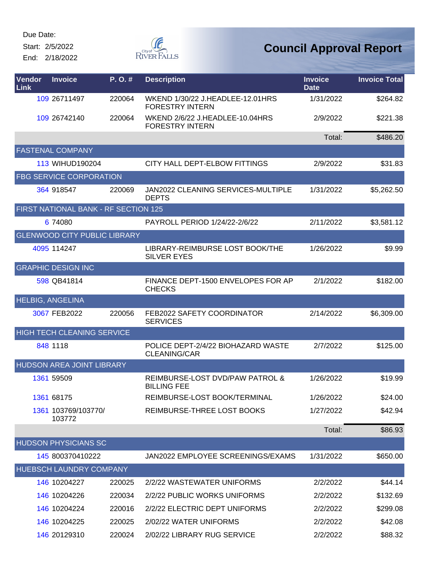Start: 2/5/2022

End: 2/18/2022



| <b>Vendor</b><br>Link | <b>Invoice</b>                       | P.O.#  | <b>Description</b>                                         | <b>Invoice</b><br><b>Date</b> | <b>Invoice Total</b> |
|-----------------------|--------------------------------------|--------|------------------------------------------------------------|-------------------------------|----------------------|
|                       | 109 26711497                         | 220064 | WKEND 1/30/22 J.HEADLEE-12.01HRS<br><b>FORESTRY INTERN</b> | 1/31/2022                     | \$264.82             |
|                       | 109 26742140                         | 220064 | WKEND 2/6/22 J.HEADLEE-10.04HRS<br><b>FORESTRY INTERN</b>  | 2/9/2022                      | \$221.38             |
|                       |                                      |        |                                                            | Total:                        | \$486.20             |
|                       | <b>FASTENAL COMPANY</b>              |        |                                                            |                               |                      |
|                       | 113 WIHUD190204                      |        | CITY HALL DEPT-ELBOW FITTINGS                              | 2/9/2022                      | \$31.83              |
|                       | <b>FBG SERVICE CORPORATION</b>       |        |                                                            |                               |                      |
|                       | 364 918547                           | 220069 | <b>JAN2022 CLEANING SERVICES-MULTIPLE</b><br><b>DEPTS</b>  | 1/31/2022                     | \$5,262.50           |
|                       | FIRST NATIONAL BANK - RF SECTION 125 |        |                                                            |                               |                      |
|                       | 6 74080                              |        | PAYROLL PERIOD 1/24/22-2/6/22                              | 2/11/2022                     | \$3,581.12           |
|                       | <b>GLENWOOD CITY PUBLIC LIBRARY</b>  |        |                                                            |                               |                      |
|                       | 4095 114247                          |        | LIBRARY-REIMBURSE LOST BOOK/THE<br><b>SILVER EYES</b>      | 1/26/2022                     | \$9.99               |
|                       | <b>GRAPHIC DESIGN INC</b>            |        |                                                            |                               |                      |
|                       | 598 QB41814                          |        | FINANCE DEPT-1500 ENVELOPES FOR AP<br><b>CHECKS</b>        | 2/1/2022                      | \$182.00             |
|                       | <b>HELBIG, ANGELINA</b>              |        |                                                            |                               |                      |
|                       | 3067 FEB2022                         | 220056 | FEB2022 SAFETY COORDINATOR<br><b>SERVICES</b>              | 2/14/2022                     | \$6,309.00           |
|                       | <b>HIGH TECH CLEANING SERVICE</b>    |        |                                                            |                               |                      |
|                       | 848 1118                             |        | POLICE DEPT-2/4/22 BIOHAZARD WASTE<br><b>CLEANING/CAR</b>  | 2/7/2022                      | \$125.00             |
|                       | <b>HUDSON AREA JOINT LIBRARY</b>     |        |                                                            |                               |                      |
|                       | 1361 59509                           |        | REIMBURSE-LOST DVD/PAW PATROL &<br><b>BILLING FEE</b>      | 1/26/2022                     | \$19.99              |
|                       | 1361 68175                           |        | REIMBURSE-LOST BOOK/TERMINAL                               | 1/26/2022                     | \$24.00              |
|                       | 1361 103769/103770/<br>103772        |        | REIMBURSE-THREE LOST BOOKS                                 | 1/27/2022                     | \$42.94              |
|                       |                                      |        |                                                            | Total:                        | \$86.93              |
|                       | <b>HUDSON PHYSICIANS SC</b>          |        |                                                            |                               |                      |
|                       | 145 800370410222                     |        | JAN2022 EMPLOYEE SCREENINGS/EXAMS                          | 1/31/2022                     | \$650.00             |
|                       | HUEBSCH LAUNDRY COMPANY              |        |                                                            |                               |                      |
|                       | 146 10204227                         | 220025 | 2/2/22 WASTEWATER UNIFORMS                                 | 2/2/2022                      | \$44.14              |
|                       | 146 10204226                         | 220034 | 2/2/22 PUBLIC WORKS UNIFORMS                               | 2/2/2022                      | \$132.69             |
|                       | 146 10204224                         | 220016 | 2/2/22 ELECTRIC DEPT UNIFORMS                              | 2/2/2022                      | \$299.08             |
|                       | 146 10204225                         | 220025 | 2/02/22 WATER UNIFORMS                                     | 2/2/2022                      | \$42.08              |
|                       | 146 20129310                         | 220024 | 2/02/22 LIBRARY RUG SERVICE                                | 2/2/2022                      | \$88.32              |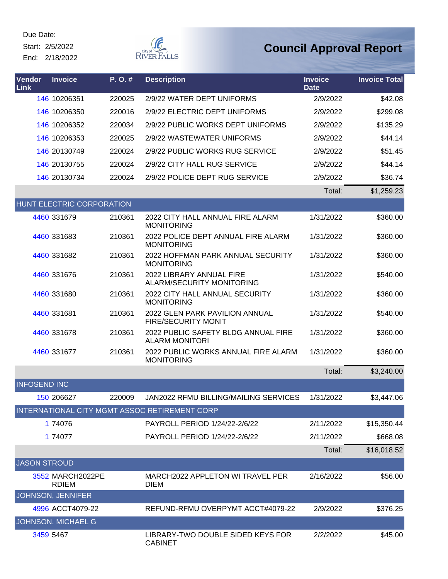Start: 2/5/2022

End: 2/18/2022



| Vendor<br><b>Link</b> | <b>Invoice</b>                   | P.O.#  | <b>Description</b>                                           | <b>Invoice</b><br><b>Date</b> | <b>Invoice Total</b> |
|-----------------------|----------------------------------|--------|--------------------------------------------------------------|-------------------------------|----------------------|
|                       | 146 10206351                     | 220025 | 2/9/22 WATER DEPT UNIFORMS                                   | 2/9/2022                      | \$42.08              |
|                       | 146 10206350                     | 220016 | 2/9/22 ELECTRIC DEPT UNIFORMS                                | 2/9/2022                      | \$299.08             |
|                       | 146 10206352                     | 220034 | 2/9/22 PUBLIC WORKS DEPT UNIFORMS                            | 2/9/2022                      | \$135.29             |
|                       | 146 10206353                     | 220025 | 2/9/22 WASTEWATER UNIFORMS                                   | 2/9/2022                      | \$44.14              |
|                       | 146 20130749                     | 220024 | 2/9/22 PUBLIC WORKS RUG SERVICE                              | 2/9/2022                      | \$51.45              |
|                       | 146 20130755                     | 220024 | 2/9/22 CITY HALL RUG SERVICE                                 | 2/9/2022                      | \$44.14              |
|                       | 146 20130734                     | 220024 | 2/9/22 POLICE DEPT RUG SERVICE                               | 2/9/2022                      | \$36.74              |
|                       |                                  |        |                                                              | Total:                        | \$1,259.23           |
|                       | <b>HUNT ELECTRIC CORPORATION</b> |        |                                                              |                               |                      |
|                       | 4460 331679                      | 210361 | 2022 CITY HALL ANNUAL FIRE ALARM<br><b>MONITORING</b>        | 1/31/2022                     | \$360.00             |
|                       | 4460 331683                      | 210361 | 2022 POLICE DEPT ANNUAL FIRE ALARM<br><b>MONITORING</b>      | 1/31/2022                     | \$360.00             |
|                       | 4460 331682                      | 210361 | 2022 HOFFMAN PARK ANNUAL SECURITY<br><b>MONITORING</b>       | 1/31/2022                     | \$360.00             |
|                       | 4460 331676                      | 210361 | 2022 LIBRARY ANNUAL FIRE<br><b>ALARM/SECURITY MONITORING</b> | 1/31/2022                     | \$540.00             |
|                       | 4460 331680                      | 210361 | 2022 CITY HALL ANNUAL SECURITY<br><b>MONITORING</b>          | 1/31/2022                     | \$360.00             |
|                       | 4460 331681                      | 210361 | 2022 GLEN PARK PAVILION ANNUAL<br><b>FIRE/SECURITY MONIT</b> | 1/31/2022                     | \$540.00             |
|                       | 4460 331678                      | 210361 | 2022 PUBLIC SAFETY BLDG ANNUAL FIRE<br><b>ALARM MONITORI</b> | 1/31/2022                     | \$360.00             |
|                       | 4460 331677                      | 210361 | 2022 PUBLIC WORKS ANNUAL FIRE ALARM<br><b>MONITORING</b>     | 1/31/2022                     | \$360.00             |
|                       |                                  |        |                                                              | Total:                        | \$3,240.00           |
| <b>INFOSEND INC</b>   |                                  |        |                                                              |                               |                      |
|                       | 150 206627                       | 220009 | JAN2022 RFMU BILLING/MAILING SERVICES                        | 1/31/2022                     | \$3,447.06           |
|                       |                                  |        | INTERNATIONAL CITY MGMT ASSOC RETIREMENT CORP                |                               |                      |
|                       | 1 74076                          |        | PAYROLL PERIOD 1/24/22-2/6/22                                | 2/11/2022                     | \$15,350.44          |
|                       | 1 74077                          |        | PAYROLL PERIOD 1/24/22-2/6/22                                | 2/11/2022                     | \$668.08             |
|                       |                                  |        |                                                              | Total:                        | \$16,018.52          |
| <b>JASON STROUD</b>   |                                  |        |                                                              |                               |                      |
|                       | 3552 MARCH2022PE<br><b>RDIEM</b> |        | MARCH2022 APPLETON WI TRAVEL PER<br><b>DIEM</b>              | 2/16/2022                     | \$56.00              |
|                       | JOHNSON, JENNIFER                |        |                                                              |                               |                      |
|                       | 4996 ACCT4079-22                 |        | REFUND-RFMU OVERPYMT ACCT#4079-22                            | 2/9/2022                      | \$376.25             |
|                       | JOHNSON, MICHAEL G               |        |                                                              |                               |                      |
|                       | 3459 5467                        |        | LIBRARY-TWO DOUBLE SIDED KEYS FOR<br><b>CABINET</b>          | 2/2/2022                      | \$45.00              |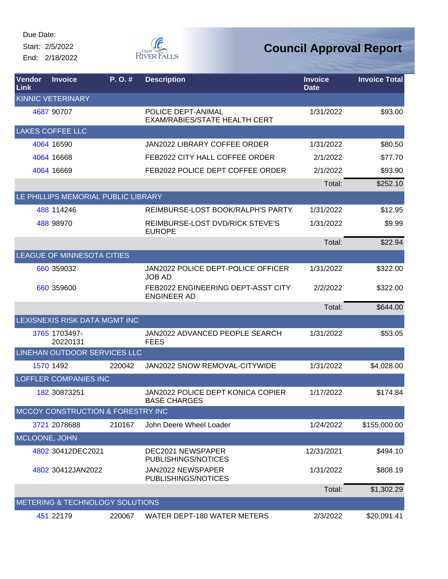Start: 2/5/2022 End: 2/18/2022



| Vendor<br>Link | <b>Invoice</b>                               | P. O. # | <b>Description</b>                                              | <b>Invoice</b><br><b>Date</b> | <b>Invoice Total</b> |
|----------------|----------------------------------------------|---------|-----------------------------------------------------------------|-------------------------------|----------------------|
|                | <b>KINNIC VETERINARY</b>                     |         |                                                                 |                               |                      |
|                | 4687 90707                                   |         | POLICE DEPT-ANIMAL<br><b>EXAM/RABIES/STATE HEALTH CERT</b>      | 1/31/2022                     | \$93.00              |
|                | <b>LAKES COFFEE LLC</b>                      |         |                                                                 |                               |                      |
|                | 4064 16590                                   |         | JAN2022 LIBRARY COFFEE ORDER                                    | 1/31/2022                     | \$80.50              |
|                | 4064 16668                                   |         | FEB2022 CITY HALL COFFEE ORDER                                  | 2/1/2022                      | \$77.70              |
|                | 4064 16669                                   |         | FEB2022 POLICE DEPT COFFEE ORDER                                | 2/1/2022                      | \$93.90              |
|                |                                              |         |                                                                 | Total:                        | \$252.10             |
|                | LE PHILLIPS MEMORIAL PUBLIC LIBRARY          |         |                                                                 |                               |                      |
|                | 488 114246                                   |         | REIMBURSE-LOST BOOK/RALPH'S PARTY                               | 1/31/2022                     | \$12.95              |
|                | 488 98970                                    |         | REIMBURSE-LOST DVD/RICK STEVE'S<br><b>EUROPE</b>                | 1/31/2022                     | \$9.99               |
|                |                                              |         |                                                                 | Total:                        | \$22.94              |
|                | LEAGUE OF MINNESOTA CITIES                   |         |                                                                 |                               |                      |
|                | 660 359032                                   |         | JAN2022 POLICE DEPT-POLICE OFFICER<br><b>JOB AD</b>             | 1/31/2022                     | \$322.00             |
|                | 660 359600                                   |         | FEB2022 ENGINEERING DEPT-ASST CITY<br><b>ENGINEER AD</b>        | 2/2/2022                      | \$322.00             |
|                |                                              |         |                                                                 | Total:                        | \$644.00             |
|                | LEXISNEXIS RISK DATA MGMT INC                |         |                                                                 |                               |                      |
|                | 3765 1703497-<br>20220131                    |         | JAN2022 ADVANCED PEOPLE SEARCH<br><b>FEES</b>                   | 1/31/2022                     | \$53.05              |
|                | LINEHAN OUTDOOR SERVICES LLC                 |         |                                                                 |                               |                      |
|                | 1570 1492                                    | 220042  | JAN2022 SNOW REMOVAL-CITYWIDE                                   | 1/31/2022                     | \$4,028.00           |
|                | <b>LOFFLER COMPANIES INC</b>                 |         |                                                                 |                               |                      |
|                | 182 30873251                                 |         | <b>JAN2022 POLICE DEPT KONICA COPIER</b><br><b>BASE CHARGES</b> | 1/17/2022                     | \$174.84             |
|                | <b>MCCOY CONSTRUCTION &amp; FORESTRY INC</b> |         |                                                                 |                               |                      |
|                | 3721 2078688                                 | 210167  | John Deere Wheel Loader                                         | 1/24/2022                     | \$155,000.00         |
| MCLOONE, JOHN  |                                              |         |                                                                 |                               |                      |
|                | 4802 30412DEC2021                            |         | DEC2021 NEWSPAPER<br>PUBLISHINGS/NOTICES                        | 12/31/2021                    | \$494.10             |
|                | 4802 30412JAN2022                            |         | JAN2022 NEWSPAPER<br><b>PUBLISHINGS/NOTICES</b>                 | 1/31/2022                     | \$808.19             |
|                |                                              |         |                                                                 | Total:                        | \$1,302.29           |
|                | METERING & TECHNOLOGY SOLUTIONS              |         |                                                                 |                               |                      |
|                | 451 22179                                    | 220067  | WATER DEPT-180 WATER METERS                                     | 2/3/2022                      | \$20,091.41          |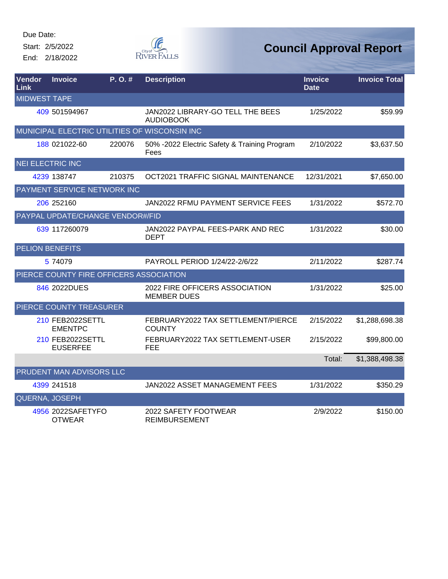Start: 2/5/2022

End: 2/18/2022



| Vendor<br><b>Link</b>   | <b>Invoice</b>                          | P.O.#  | <b>Description</b>                                   | <b>Invoice</b><br><b>Date</b> | <b>Invoice Total</b> |
|-------------------------|-----------------------------------------|--------|------------------------------------------------------|-------------------------------|----------------------|
| <b>MIDWEST TAPE</b>     |                                         |        |                                                      |                               |                      |
|                         | 409 501594967                           |        | JAN2022 LIBRARY-GO TELL THE BEES<br><b>AUDIOBOOK</b> | 1/25/2022                     | \$59.99              |
|                         |                                         |        | MUNICIPAL ELECTRIC UTILITIES OF WISCONSIN INC        |                               |                      |
|                         | 188 021022-60                           | 220076 | 50% -2022 Electric Safety & Training Program<br>Fees | 2/10/2022                     | \$3,637.50           |
| <b>NEI ELECTRIC INC</b> |                                         |        |                                                      |                               |                      |
|                         | 4239 138747                             | 210375 | OCT2021 TRAFFIC SIGNAL MAINTENANCE                   | 12/31/2021                    | \$7,650.00           |
|                         | PAYMENT SERVICE NETWORK INC             |        |                                                      |                               |                      |
|                         | 206 252160                              |        | JAN2022 RFMU PAYMENT SERVICE FEES                    | 1/31/2022                     | \$572.70             |
|                         | PAYPAL UPDATE/CHANGE VENDOR#/FID        |        |                                                      |                               |                      |
|                         | 639 117260079                           |        | JAN2022 PAYPAL FEES-PARK AND REC<br><b>DEPT</b>      | 1/31/2022                     | \$30.00              |
| <b>PELION BENEFITS</b>  |                                         |        |                                                      |                               |                      |
|                         | 5 74079                                 |        | PAYROLL PERIOD 1/24/22-2/6/22                        | 2/11/2022                     | \$287.74             |
|                         | PIERCE COUNTY FIRE OFFICERS ASSOCIATION |        |                                                      |                               |                      |
|                         | 846 2022DUES                            |        | 2022 FIRE OFFICERS ASSOCIATION<br><b>MEMBER DUES</b> | 1/31/2022                     | \$25.00              |
|                         | PIERCE COUNTY TREASURER                 |        |                                                      |                               |                      |
|                         | 210 FEB2022SETTL<br><b>EMENTPC</b>      |        | FEBRUARY2022 TAX SETTLEMENT/PIERCE<br><b>COUNTY</b>  | 2/15/2022                     | \$1,288,698.38       |
|                         | 210 FEB2022SETTL<br><b>EUSERFEE</b>     |        | FEBRUARY2022 TAX SETTLEMENT-USER<br><b>FEE</b>       | 2/15/2022                     | \$99,800.00          |
|                         |                                         |        |                                                      | Total:                        | \$1,388,498.38       |
|                         | PRUDENT MAN ADVISORS LLC                |        |                                                      |                               |                      |
|                         | 4399 241518                             |        | JAN2022 ASSET MANAGEMENT FEES                        | 1/31/2022                     | \$350.29             |
| QUERNA, JOSEPH          |                                         |        |                                                      |                               |                      |
|                         | 4956 2022SAFETYFO<br><b>OTWEAR</b>      |        | 2022 SAFETY FOOTWEAR<br><b>REIMBURSEMENT</b>         | 2/9/2022                      | \$150.00             |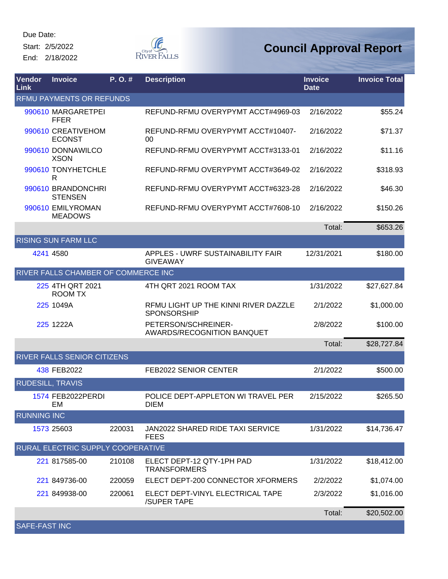Start: 2/5/2022 End: 2/18/2022



| Vendor<br>Link       | <b>Invoice</b>                       | P. O.# | <b>Description</b>                                     | <b>Invoice</b><br><b>Date</b> | <b>Invoice Total</b> |
|----------------------|--------------------------------------|--------|--------------------------------------------------------|-------------------------------|----------------------|
|                      | <b>RFMU PAYMENTS OR REFUNDS</b>      |        |                                                        |                               |                      |
|                      | 990610 MARGARETPEI<br><b>FFER</b>    |        | REFUND-RFMU OVERYPYMT ACCT#4969-03                     | 2/16/2022                     | \$55.24              |
|                      | 990610 CREATIVEHOM<br><b>ECONST</b>  |        | REFUND-RFMU OVERYPYMT ACCT#10407-<br>00                | 2/16/2022                     | \$71.37              |
|                      | 990610 DONNAWILCO<br><b>XSON</b>     |        | REFUND-RFMU OVERYPYMT ACCT#3133-01                     | 2/16/2022                     | \$11.16              |
|                      | 990610 TONYHETCHLE<br>R              |        | REFUND-RFMU OVERYPYMT ACCT#3649-02                     | 2/16/2022                     | \$318.93             |
|                      | 990610 BRANDONCHRI<br><b>STENSEN</b> |        | REFUND-RFMU OVERYPYMT ACCT#6323-28                     | 2/16/2022                     | \$46.30              |
|                      | 990610 EMILYROMAN<br><b>MEADOWS</b>  |        | REFUND-RFMU OVERYPYMT ACCT#7608-10                     | 2/16/2022                     | \$150.26             |
|                      |                                      |        |                                                        | Total:                        | \$653.26             |
|                      | <b>RISING SUN FARM LLC</b>           |        |                                                        |                               |                      |
|                      | 4241 4580                            |        | APPLES - UWRF SUSTAINABILITY FAIR<br><b>GIVEAWAY</b>   | 12/31/2021                    | \$180.00             |
|                      | RIVER FALLS CHAMBER OF COMMERCE INC  |        |                                                        |                               |                      |
|                      | 225 4TH QRT 2021<br><b>ROOM TX</b>   |        | 4TH QRT 2021 ROOM TAX                                  | 1/31/2022                     | \$27,627.84          |
|                      | 225 1049A                            |        | RFMU LIGHT UP THE KINNI RIVER DAZZLE<br>SPONSORSHIP    | 2/1/2022                      | \$1,000.00           |
|                      | 225 1222A                            |        | PETERSON/SCHREINER-<br>AWARDS/RECOGNITION BANQUET      | 2/8/2022                      | \$100.00             |
|                      |                                      |        |                                                        | Total:                        | \$28,727.84          |
|                      | RIVER FALLS SENIOR CITIZENS          |        |                                                        |                               |                      |
|                      | 438 FEB2022                          |        | <b>FEB2022 SENIOR CENTER</b>                           | 2/1/2022                      | \$500.00             |
|                      | <b>RUDESILL, TRAVIS</b>              |        |                                                        |                               |                      |
|                      | 1574 FEB2022PERDI<br>EM              |        | POLICE DEPT-APPLETON WI TRAVEL PER<br><b>DIEM</b>      | 2/15/2022                     | \$265.50             |
| <b>RUNNING INC</b>   |                                      |        |                                                        |                               |                      |
|                      | 1573 25603                           | 220031 | <b>JAN2022 SHARED RIDE TAXI SERVICE</b><br><b>FEES</b> | 1/31/2022                     | \$14,736.47          |
|                      | RURAL ELECTRIC SUPPLY COOPERATIVE    |        |                                                        |                               |                      |
|                      | 221 817585-00                        | 210108 | ELECT DEPT-12 QTY-1PH PAD<br><b>TRANSFORMERS</b>       | 1/31/2022                     | \$18,412.00          |
|                      | 221 849736-00                        | 220059 | ELECT DEPT-200 CONNECTOR XFORMERS                      | 2/2/2022                      | \$1,074.00           |
|                      | 221 849938-00                        | 220061 | ELECT DEPT-VINYL ELECTRICAL TAPE<br>/SUPER TAPE        | 2/3/2022                      | \$1,016.00           |
|                      |                                      |        |                                                        | Total:                        | \$20,502.00          |
| <b>SAFE-FAST INC</b> |                                      |        |                                                        |                               |                      |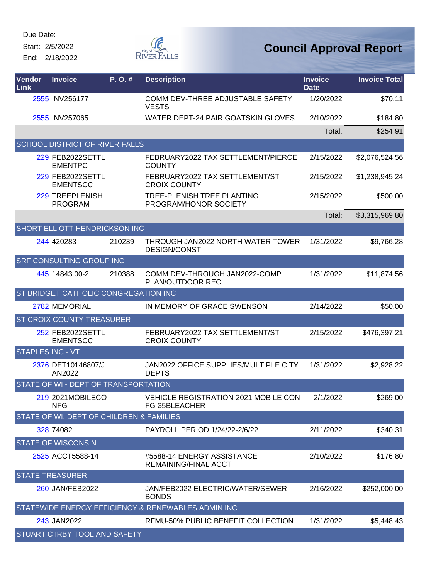Start: 2/5/2022 End: 2/18/2022



| Vendor<br><b>Link</b>   | <b>Invoice</b>                             | P.O.#  | <b>Description</b>                                        | <b>Invoice</b><br><b>Date</b> | <b>Invoice Total</b> |
|-------------------------|--------------------------------------------|--------|-----------------------------------------------------------|-------------------------------|----------------------|
|                         | 2555 INV256177                             |        | COMM DEV-THREE ADJUSTABLE SAFETY<br><b>VESTS</b>          | 1/20/2022                     | \$70.11              |
|                         | 2555 INV257065                             |        | WATER DEPT-24 PAIR GOATSKIN GLOVES                        | 2/10/2022                     | \$184.80             |
|                         |                                            |        |                                                           | Total:                        | \$254.91             |
|                         | <b>SCHOOL DISTRICT OF RIVER FALLS</b>      |        |                                                           |                               |                      |
|                         | <b>229 FEB2022SETTL</b><br><b>EMENTPC</b>  |        | FEBRUARY2022 TAX SETTLEMENT/PIERCE<br><b>COUNTY</b>       | 2/15/2022                     | \$2,076,524.56       |
|                         | <b>229 FEB2022SETTL</b><br><b>EMENTSCC</b> |        | FEBRUARY2022 TAX SETTLEMENT/ST<br><b>CROIX COUNTY</b>     | 2/15/2022                     | \$1,238,945.24       |
|                         | 229 TREEPLENISH<br><b>PROGRAM</b>          |        | TREE-PLENISH TREE PLANTING<br>PROGRAM/HONOR SOCIETY       | 2/15/2022                     | \$500.00             |
|                         |                                            |        |                                                           | Total:                        | \$3,315,969.80       |
|                         | <b>SHORT ELLIOTT HENDRICKSON INC</b>       |        |                                                           |                               |                      |
|                         | 244 420283                                 | 210239 | THROUGH JAN2022 NORTH WATER TOWER<br><b>DESIGN/CONST</b>  | 1/31/2022                     | \$9,766.28           |
|                         | <b>SRF CONSULTING GROUP INC</b>            |        |                                                           |                               |                      |
|                         | 445 14843.00-2                             | 210388 | COMM DEV-THROUGH JAN2022-COMP<br>PLAN/OUTDOOR REC         | 1/31/2022                     | \$11,874.56          |
|                         | ST BRIDGET CATHOLIC CONGREGATION INC       |        |                                                           |                               |                      |
|                         | 2782 MEMORIAL                              |        | IN MEMORY OF GRACE SWENSON                                | 2/14/2022                     | \$50.00              |
|                         | <b>ST CROIX COUNTY TREASURER</b>           |        |                                                           |                               |                      |
|                         | 252 FEB2022SETTL<br><b>EMENTSCC</b>        |        | FEBRUARY2022 TAX SETTLEMENT/ST<br><b>CROIX COUNTY</b>     | 2/15/2022                     | \$476,397.21         |
| <b>STAPLES INC - VT</b> |                                            |        |                                                           |                               |                      |
|                         | 2376 DET10146807/J<br>AN2022               |        | JAN2022 OFFICE SUPPLIES/MULTIPLE CITY<br><b>DEPTS</b>     | 1/31/2022                     | \$2,928.22           |
|                         | STATE OF WI - DEPT OF TRANSPORTATION       |        |                                                           |                               |                      |
|                         | 219 2021MOBILECO<br><b>NFG</b>             |        | VEHICLE REGISTRATION-2021 MOBILE CON<br>FG-35BLEACHER     | 2/1/2022                      | \$269.00             |
|                         | STATE OF WI, DEPT OF CHILDREN & FAMILIES   |        |                                                           |                               |                      |
|                         | 328 74082                                  |        | PAYROLL PERIOD 1/24/22-2/6/22                             | 2/11/2022                     | \$340.31             |
|                         | <b>STATE OF WISCONSIN</b>                  |        |                                                           |                               |                      |
|                         | 2525 ACCT5588-14                           |        | #5588-14 ENERGY ASSISTANCE<br><b>REMAINING/FINAL ACCT</b> | 2/10/2022                     | \$176.80             |
|                         | <b>STATE TREASURER</b>                     |        |                                                           |                               |                      |
|                         | 260 JAN/FEB2022                            |        | JAN/FEB2022 ELECTRIC/WATER/SEWER<br><b>BONDS</b>          | 2/16/2022                     | \$252,000.00         |
|                         |                                            |        | STATEWIDE ENERGY EFFICIENCY & RENEWABLES ADMIN INC        |                               |                      |
|                         | 243 JAN2022                                |        | RFMU-50% PUBLIC BENEFIT COLLECTION                        | 1/31/2022                     | \$5,448.43           |
|                         | STUART C IRBY TOOL AND SAFETY              |        |                                                           |                               |                      |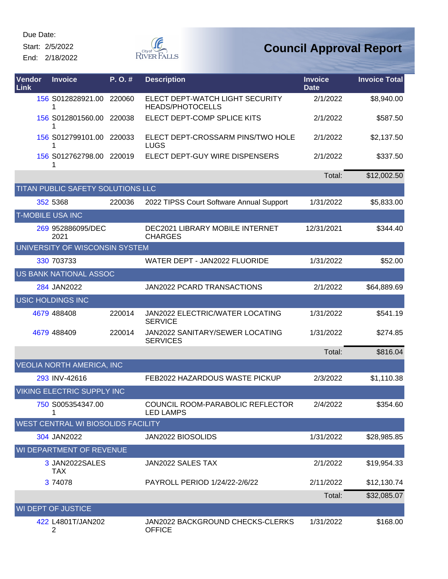Start: 2/5/2022

End: 2/18/2022



| Vendor<br>Link          | <b>Invoice</b>                     | P.O.#  | <b>Description</b>                                         | <b>Invoice</b><br><b>Date</b> | <b>Invoice Total</b> |
|-------------------------|------------------------------------|--------|------------------------------------------------------------|-------------------------------|----------------------|
|                         | 156 S012828921.00 220060<br>1      |        | ELECT DEPT-WATCH LIGHT SECURITY<br><b>HEADS/PHOTOCELLS</b> | 2/1/2022                      | \$8,940.00           |
|                         | 156 S012801560.00                  | 220038 | ELECT DEPT-COMP SPLICE KITS                                | 2/1/2022                      | \$587.50             |
|                         | 156 S012799101.00<br>1             | 220033 | ELECT DEPT-CROSSARM PINS/TWO HOLE<br><b>LUGS</b>           | 2/1/2022                      | \$2,137.50           |
|                         | 156 S012762798.00                  | 220019 | ELECT DEPT-GUY WIRE DISPENSERS                             | 2/1/2022                      | \$337.50             |
|                         |                                    |        |                                                            | Total:                        | \$12,002.50          |
|                         | TITAN PUBLIC SAFETY SOLUTIONS LLC  |        |                                                            |                               |                      |
|                         | 352 5368                           | 220036 | 2022 TIPSS Court Software Annual Support                   | 1/31/2022                     | \$5,833.00           |
| <b>T-MOBILE USA INC</b> |                                    |        |                                                            |                               |                      |
|                         | 269 952886095/DEC<br>2021          |        | DEC2021 LIBRARY MOBILE INTERNET<br><b>CHARGES</b>          | 12/31/2021                    | \$344.40             |
|                         | UNIVERSITY OF WISCONSIN SYSTEM     |        |                                                            |                               |                      |
|                         | 330 703733                         |        | WATER DEPT - JAN2022 FLUORIDE                              | 1/31/2022                     | \$52.00              |
|                         | US BANK NATIONAL ASSOC             |        |                                                            |                               |                      |
|                         | 284 JAN2022                        |        | <b>JAN2022 PCARD TRANSACTIONS</b>                          | 2/1/2022                      | \$64,889.69          |
|                         | <b>USIC HOLDINGS INC</b>           |        |                                                            |                               |                      |
|                         | 4679 488408                        | 220014 | JAN2022 ELECTRIC/WATER LOCATING<br><b>SERVICE</b>          | 1/31/2022                     | \$541.19             |
|                         | 4679 488409                        | 220014 | JAN2022 SANITARY/SEWER LOCATING<br><b>SERVICES</b>         | 1/31/2022                     | \$274.85             |
|                         |                                    |        |                                                            | Total:                        | \$816.04             |
|                         | <b>VEOLIA NORTH AMERICA, INC</b>   |        |                                                            |                               |                      |
|                         | 293 INV-42616                      |        | FEB2022 HAZARDOUS WASTE PICKUP                             | 2/3/2022                      | \$1,110.38           |
|                         | <b>VIKING ELECTRIC SUPPLY INC</b>  |        |                                                            |                               |                      |
|                         | 750 S005354347.00                  |        | COUNCIL ROOM-PARABOLIC REFLECTOR<br><b>LED LAMPS</b>       | 2/4/2022                      | \$354.60             |
|                         | WEST CENTRAL WI BIOSOLIDS FACILITY |        |                                                            |                               |                      |
|                         | 304 JAN2022                        |        | JAN2022 BIOSOLIDS                                          | 1/31/2022                     | \$28,985.85          |
|                         | WI DEPARTMENT OF REVENUE           |        |                                                            |                               |                      |
|                         | 3 JAN2022SALES<br>TAX.             |        | JAN2022 SALES TAX                                          | 2/1/2022                      | \$19,954.33          |
|                         | 3 74078                            |        | PAYROLL PERIOD 1/24/22-2/6/22                              | 2/11/2022                     | \$12,130.74          |
|                         |                                    |        |                                                            | Total:                        | \$32,085.07          |
|                         | <b>WI DEPT OF JUSTICE</b>          |        |                                                            |                               |                      |
|                         | 422 L4801T/JAN202<br>2             |        | JAN2022 BACKGROUND CHECKS-CLERKS<br><b>OFFICE</b>          | 1/31/2022                     | \$168.00             |